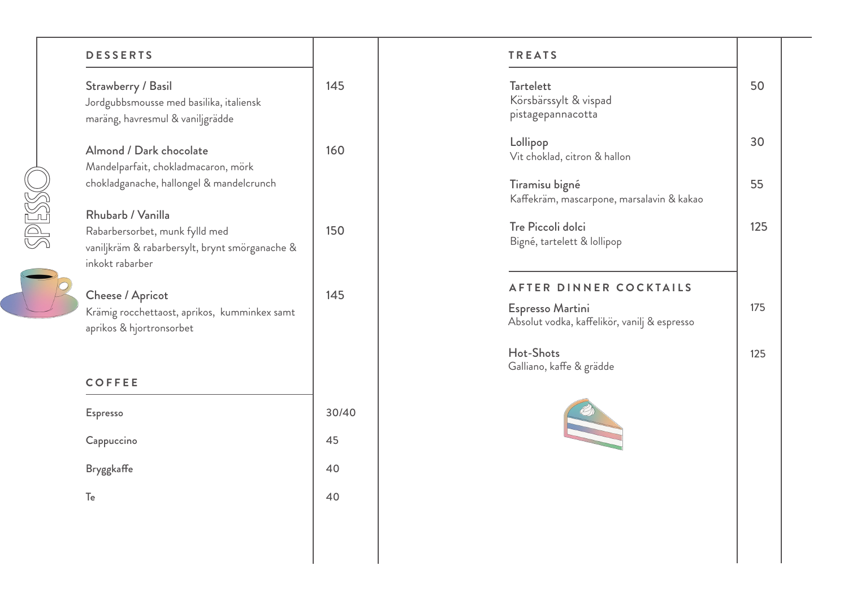## **DESSERTS**

**OSSES** 

| Strawberry / Basil                      |
|-----------------------------------------|
| Jordgubbsmousse med basilika, italiensk |
| maräng, havresmul & vaniljgrädde        |

145

160

150

145

Almond / Dark chocolate Mandelparfait, chokladmacaron, mörk chokladganache, hallongel & mandelcrunch

Rhubarb / Vanilla Rabarbersorbet, munk fylld med vaniljkräm & rabarbersylt, brynt smörganache & inkokt rabarber

Cheese / Apricot Krämig rocchettaost, aprikos, kumminkex samt aprikos & hjortronsorbet

## Espresso Cappuccino Bryggkaffe Te 30/40 45 40 40 **COFFEE**

| <b>Tartelett</b><br>Körsbärssylt & vispad<br>pistagepannacotta   | 50  |
|------------------------------------------------------------------|-----|
| Lollipop<br>Vit choklad, citron & hallon                         | 30  |
| Tiramisu bigné<br>Kaffekräm, mascarpone, marsalavin & kakao      | 55  |
| Tre Piccoli dolci<br>Bigné, tartelett & lollipop                 | 125 |
| AFTER DINNER COCKTAILS                                           |     |
| Espresso Martini<br>Absolut vodka, kaffelikör, vanilj & espresso | 175 |
| Hot-Shots<br>Galliano, kaffe & grädde                            | 125 |
| $\sqrt{2}$                                                       |     |
|                                                                  |     |